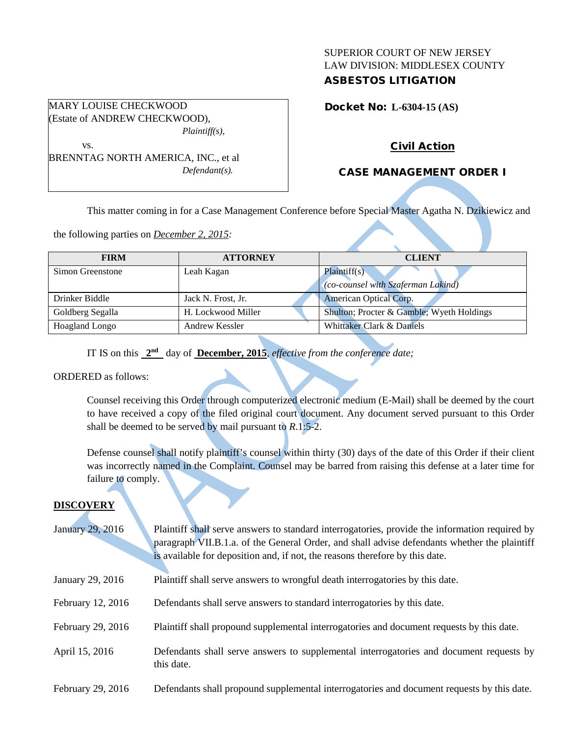## SUPERIOR COURT OF NEW JERSEY LAW DIVISION: MIDDLESEX COUNTY ASBESTOS LITIGATION

Docket No: **L-6304-15 (AS)** 

# Civil Action

# CASE MANAGEMENT ORDER I

This matter coming in for a Case Management Conference before Special Master Agatha N. Dzikiewicz and

the following parties on *December 2, 2015:*

BRENNTAG NORTH AMERICA, INC., et al

*Defendant(s).*

| <b>FIRM</b>           | <b>ATTORNEY</b>    | <b>CLIENT</b>                                             |  |
|-----------------------|--------------------|-----------------------------------------------------------|--|
| Simon Greenstone      | Leah Kagan         | Plaintiff(s)<br>$\cos$ (co-counsel with Szaferman Lakind) |  |
| Drinker Biddle        | Jack N. Frost, Jr. | American Optical Corp.                                    |  |
| Goldberg Segalla      | H. Lockwood Miller | Shulton; Procter & Gamble; Wyeth Holdings                 |  |
| <b>Hoagland Longo</b> | Andrew Kessler     | Whittaker Clark & Daniels                                 |  |

IT IS on this **2nd** day of **December, 2015**, *effective from the conference date;*

### ORDERED as follows:

Counsel receiving this Order through computerized electronic medium (E-Mail) shall be deemed by the court to have received a copy of the filed original court document. Any document served pursuant to this Order shall be deemed to be served by mail pursuant to *R*.1:5-2.

Defense counsel shall notify plaintiff's counsel within thirty (30) days of the date of this Order if their client was incorrectly named in the Complaint. Counsel may be barred from raising this defense at a later time for failure to comply.

# **DISCOVERY**

| January 29, 2016 | Plaintiff shall serve answers to standard interrogatories, provide the information required by |
|------------------|------------------------------------------------------------------------------------------------|
|                  | paragraph VII.B.1.a. of the General Order, and shall advise defendants whether the plaintiff   |
|                  | is available for deposition and, if not, the reasons therefore by this date.                   |

- January 29, 2016 Plaintiff shall serve answers to wrongful death interrogatories by this date.
- February 12, 2016 Defendants shall serve answers to standard interrogatories by this date.
- February 29, 2016 Plaintiff shall propound supplemental interrogatories and document requests by this date.
- April 15, 2016 Defendants shall serve answers to supplemental interrogatories and document requests by this date.
- February 29, 2016 Defendants shall propound supplemental interrogatories and document requests by this date.

### MARY LOUISE CHECKWOOD (Estate of ANDREW CHECKWOOD), *Plaintiff(s),*

vs.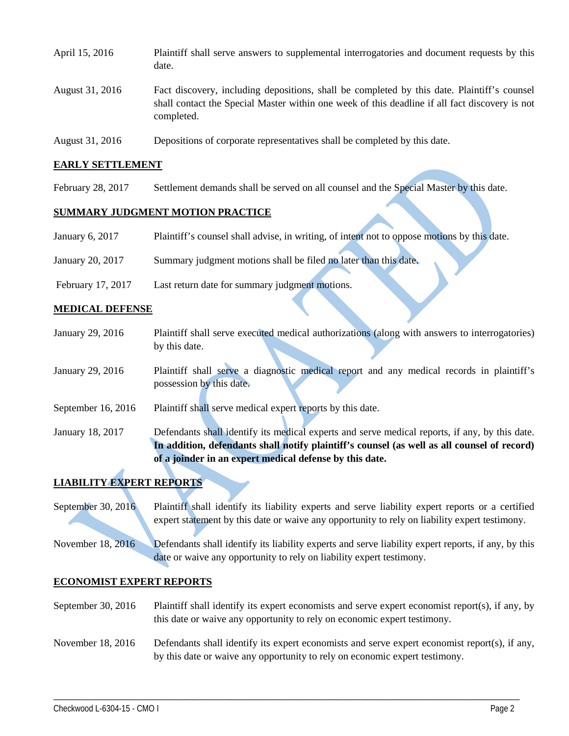| April 15, 2016  | Plaintiff shall serve answers to supplemental interrogatories and document requests by this<br>date.                                                                                                        |
|-----------------|-------------------------------------------------------------------------------------------------------------------------------------------------------------------------------------------------------------|
| August 31, 2016 | Fact discovery, including depositions, shall be completed by this date. Plaintiff's counsel<br>shall contact the Special Master within one week of this deadline if all fact discovery is not<br>completed. |
| August 31, 2016 | Depositions of corporate representatives shall be completed by this date.                                                                                                                                   |

#### **EARLY SETTLEMENT**

February 28, 2017 Settlement demands shall be served on all counsel and the Special Master by this date.

## **SUMMARY JUDGMENT MOTION PRACTICE**

| January 6, 2017   | Plaintiff's counsel shall advise, in writing, of intent not to oppose motions by this date. |
|-------------------|---------------------------------------------------------------------------------------------|
| January 20, 2017  | Summary judgment motions shall be filed no later than this date.                            |
| February 17, 2017 | Last return date for summary judgment motions.                                              |

#### **MEDICAL DEFENSE**

| January 29, 2016                                        | Plaintiff shall serve executed medical authorizations (along with answers to interrogatories)  |  |
|---------------------------------------------------------|------------------------------------------------------------------------------------------------|--|
|                                                         | by this date.                                                                                  |  |
|                                                         |                                                                                                |  |
| January 29, 2016                                        | Plaintiff shall serve a diagnostic medical report and any medical records in plaintiff's       |  |
|                                                         | possession by this date.                                                                       |  |
| September 16, 2016                                      | Plaintiff shall serve medical expert reports by this date.                                     |  |
| January 18, 2017                                        | Defendants shall identify its medical experts and serve medical reports, if any, by this date. |  |
|                                                         | In addition, defendants shall notify plaintiff's counsel (as well as all counsel of record)    |  |
| of a joinder in an expert medical defense by this date. |                                                                                                |  |

### **LIABILITY EXPERT REPORTS**

September 30, 2016 Plaintiff shall identify its liability experts and serve liability expert reports or a certified expert statement by this date or waive any opportunity to rely on liability expert testimony.

November 18, 2016 Defendants shall identify its liability experts and serve liability expert reports, if any, by this date or waive any opportunity to rely on liability expert testimony.

### **ECONOMIST EXPERT REPORTS**

September 30, 2016 Plaintiff shall identify its expert economists and serve expert economist report(s), if any, by this date or waive any opportunity to rely on economic expert testimony.

## November 18, 2016 Defendants shall identify its expert economists and serve expert economist report(s), if any, by this date or waive any opportunity to rely on economic expert testimony.

\_\_\_\_\_\_\_\_\_\_\_\_\_\_\_\_\_\_\_\_\_\_\_\_\_\_\_\_\_\_\_\_\_\_\_\_\_\_\_\_\_\_\_\_\_\_\_\_\_\_\_\_\_\_\_\_\_\_\_\_\_\_\_\_\_\_\_\_\_\_\_\_\_\_\_\_\_\_\_\_\_\_\_\_\_\_\_\_\_\_\_\_\_\_\_\_\_\_\_\_\_\_\_\_\_\_\_\_\_\_